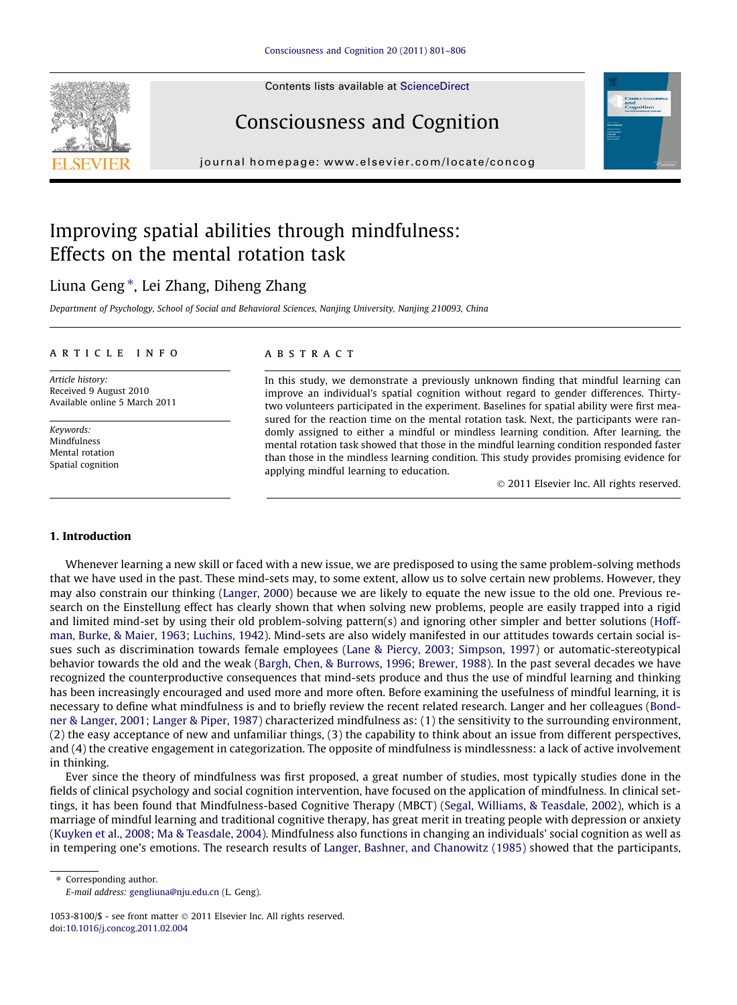Contents lists available at [ScienceDirect](http://www.sciencedirect.com/science/journal/10538100)





# Consciousness and Cognition

journal homepage: [www.elsevier.com/locate/concog](http://www.elsevier.com/locate/concog)

# Improving spatial abilities through mindfulness: Effects on the mental rotation task

## Liuna Geng\*, Lei Zhang, Diheng Zhang

Department of Psychology, School of Social and Behavioral Sciences, Nanjing University, Nanjing 210093, China

## article info

Article history: Received 9 August 2010 Available online 5 March 2011

Keywords: Mindfulness Mental rotation Spatial cognition

## **ARSTRACT**

In this study, we demonstrate a previously unknown finding that mindful learning can improve an individual's spatial cognition without regard to gender differences. Thirtytwo volunteers participated in the experiment. Baselines for spatial ability were first measured for the reaction time on the mental rotation task. Next, the participants were randomly assigned to either a mindful or mindless learning condition. After learning, the mental rotation task showed that those in the mindful learning condition responded faster than those in the mindless learning condition. This study provides promising evidence for applying mindful learning to education.

- 2011 Elsevier Inc. All rights reserved.

## 1. Introduction

Whenever learning a new skill or faced with a new issue, we are predisposed to using the same problem-solving methods that we have used in the past. These mind-sets may, to some extent, allow us to solve certain new problems. However, they may also constrain our thinking ([Langer, 2000\)](#page-5-0) because we are likely to equate the new issue to the old one. Previous research on the Einstellung effect has clearly shown that when solving new problems, people are easily trapped into a rigid and limited mind-set by using their old problem-solving pattern(s) and ignoring other simpler and better solutions ([Hoff](#page-5-0)[man, Burke, & Maier, 1963; Luchins, 1942](#page-5-0)). Mind-sets are also widely manifested in our attitudes towards certain social issues such as discrimination towards female employees [\(Lane & Piercy, 2003; Simpson, 1997\)](#page-5-0) or automatic-stereotypical behavior towards the old and the weak [\(Bargh, Chen, & Burrows, 1996; Brewer, 1988\)](#page-4-0). In the past several decades we have recognized the counterproductive consequences that mind-sets produce and thus the use of mindful learning and thinking has been increasingly encouraged and used more and more often. Before examining the usefulness of mindful learning, it is necessary to define what mindfulness is and to briefly review the recent related research. Langer and her colleagues [\(Bond](#page-4-0)[ner & Langer, 2001; Langer & Piper, 1987\)](#page-4-0) characterized mindfulness as: (1) the sensitivity to the surrounding environment, (2) the easy acceptance of new and unfamiliar things, (3) the capability to think about an issue from different perspectives, and (4) the creative engagement in categorization. The opposite of mindfulness is mindlessness: a lack of active involvement in thinking.

Ever since the theory of mindfulness was first proposed, a great number of studies, most typically studies done in the fields of clinical psychology and social cognition intervention, have focused on the application of mindfulness. In clinical settings, it has been found that Mindfulness-based Cognitive Therapy (MBCT) ([Segal, Williams, & Teasdale, 2002](#page-5-0)), which is a marriage of mindful learning and traditional cognitive therapy, has great merit in treating people with depression or anxiety ([Kuyken et al., 2008; Ma & Teasdale, 2004](#page-5-0)). Mindfulness also functions in changing an individuals' social cognition as well as in tempering one's emotions. The research results of [Langer, Bashner, and Chanowitz \(1985\)](#page-5-0) showed that the participants,

⇑ Corresponding author. E-mail address: [gengliuna@nju.edu.cn](mailto:gengliuna@nju.edu.cn) (L. Geng).

 $1053-8100$ /\$ - see front matter  $\odot$  2011 Elsevier Inc. All rights reserved. doi:[10.1016/j.concog.2011.02.004](http://dx.doi.org/10.1016/j.concog.2011.02.004)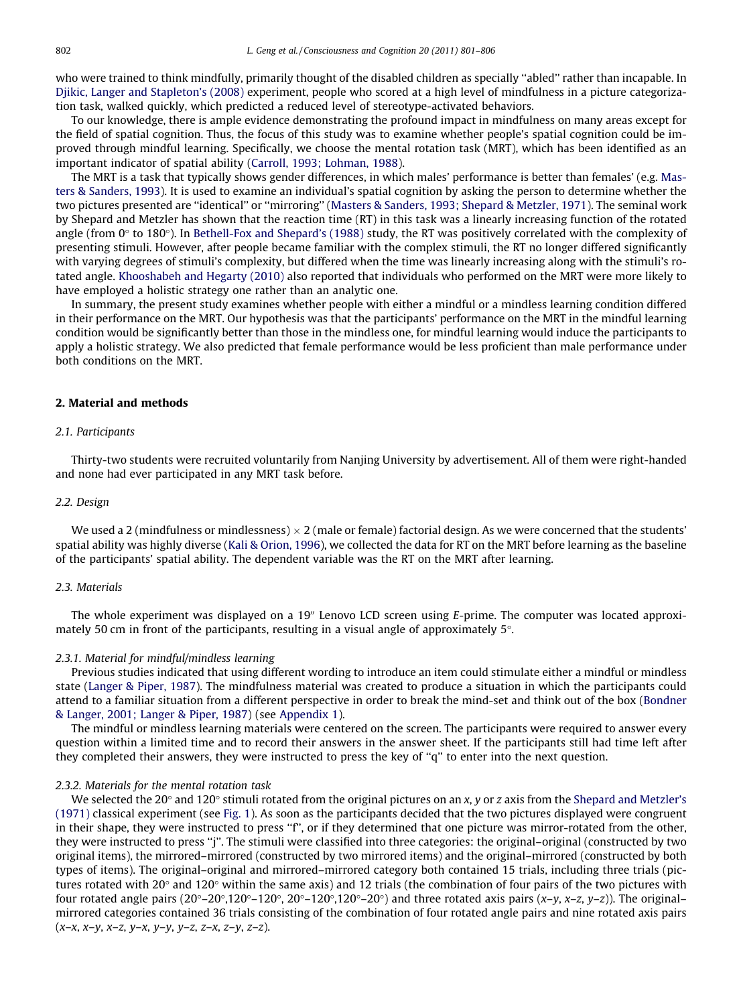who were trained to think mindfully, primarily thought of the disabled children as specially ''abled'' rather than incapable. In [Djikic, Langer and Stapleton's \(2008\)](#page-4-0) experiment, people who scored at a high level of mindfulness in a picture categorization task, walked quickly, which predicted a reduced level of stereotype-activated behaviors.

To our knowledge, there is ample evidence demonstrating the profound impact in mindfulness on many areas except for the field of spatial cognition. Thus, the focus of this study was to examine whether people's spatial cognition could be improved through mindful learning. Specifically, we choose the mental rotation task (MRT), which has been identified as an important indicator of spatial ability ([Carroll, 1993; Lohman, 1988](#page-4-0)).

The MRT is a task that typically shows gender differences, in which males' performance is better than females' (e.g. [Mas](#page-5-0)[ters & Sanders, 1993\)](#page-5-0). It is used to examine an individual's spatial cognition by asking the person to determine whether the two pictures presented are ''identical'' or ''mirroring'' ([Masters & Sanders, 1993; Shepard & Metzler, 1971\)](#page-5-0). The seminal work by Shepard and Metzler has shown that the reaction time (RT) in this task was a linearly increasing function of the rotated angle (from  $0^\circ$  to 180 $^\circ$ ). In [Bethell-Fox and Shepard's \(1988\)](#page-4-0) study, the RT was positively correlated with the complexity of presenting stimuli. However, after people became familiar with the complex stimuli, the RT no longer differed significantly with varying degrees of stimuli's complexity, but differed when the time was linearly increasing along with the stimuli's rotated angle. [Khooshabeh and Hegarty \(2010\)](#page-5-0) also reported that individuals who performed on the MRT were more likely to have employed a holistic strategy one rather than an analytic one.

In summary, the present study examines whether people with either a mindful or a mindless learning condition differed in their performance on the MRT. Our hypothesis was that the participants' performance on the MRT in the mindful learning condition would be significantly better than those in the mindless one, for mindful learning would induce the participants to apply a holistic strategy. We also predicted that female performance would be less proficient than male performance under both conditions on the MRT.

## 2. Material and methods

#### 2.1. Participants

Thirty-two students were recruited voluntarily from Nanjing University by advertisement. All of them were right-handed and none had ever participated in any MRT task before.

## 2.2. Design

We used a 2 (mindfulness or mindlessness)  $\times$  2 (male or female) factorial design. As we were concerned that the students' spatial ability was highly diverse ([Kali & Orion, 1996\)](#page-5-0), we collected the data for RT on the MRT before learning as the baseline of the participants' spatial ability. The dependent variable was the RT on the MRT after learning.

## 2.3. Materials

The whole experiment was displayed on a 19<sup>%</sup> Lenovo LCD screen using E-prime. The computer was located approximately 50 cm in front of the participants, resulting in a visual angle of approximately  $5^\circ$ .

### 2.3.1. Material for mindful/mindless learning

Previous studies indicated that using different wording to introduce an item could stimulate either a mindful or mindless state [\(Langer & Piper, 1987\)](#page-5-0). The mindfulness material was created to produce a situation in which the participants could attend to a familiar situation from a different perspective in order to break the mind-set and think out of the box ([Bondner](#page-4-0) [& Langer, 2001; Langer & Piper, 1987](#page-4-0)) (see Appendix 1).

The mindful or mindless learning materials were centered on the screen. The participants were required to answer every question within a limited time and to record their answers in the answer sheet. If the participants still had time left after they completed their answers, they were instructed to press the key of ''q'' to enter into the next question.

## 2.3.2. Materials for the mental rotation task

We selected the 20 $\degree$  and 120 $\degree$  stimuli rotated from the original pictures on an x, y or z axis from the [Shepard and Metzler's](#page-5-0) [\(1971\)](#page-5-0) classical experiment (see [Fig. 1](#page-2-0)). As soon as the participants decided that the two pictures displayed were congruent in their shape, they were instructed to press ''f'', or if they determined that one picture was mirror-rotated from the other, they were instructed to press ''j''. The stimuli were classified into three categories: the original–original (constructed by two original items), the mirrored–mirrored (constructed by two mirrored items) and the original–mirrored (constructed by both types of items). The original–original and mirrored–mirrored category both contained 15 trials, including three trials (pictures rotated with 20 $\degree$  and 120 $\degree$  within the same axis) and 12 trials (the combination of four pairs of the two pictures with four rotated angle pairs  $(20^{\circ}-20^{\circ},120^{\circ}-120^{\circ},120^{\circ}-120^{\circ},120^{\circ}-20^{\circ})$  and three rotated axis pairs  $(x-y, x-z, y-z)$ ). The original– mirrored categories contained 36 trials consisting of the combination of four rotated angle pairs and nine rotated axis pairs  $(x-x, x-y, x-z, y-x, y-y, y-z, z-x, z-y, z-z).$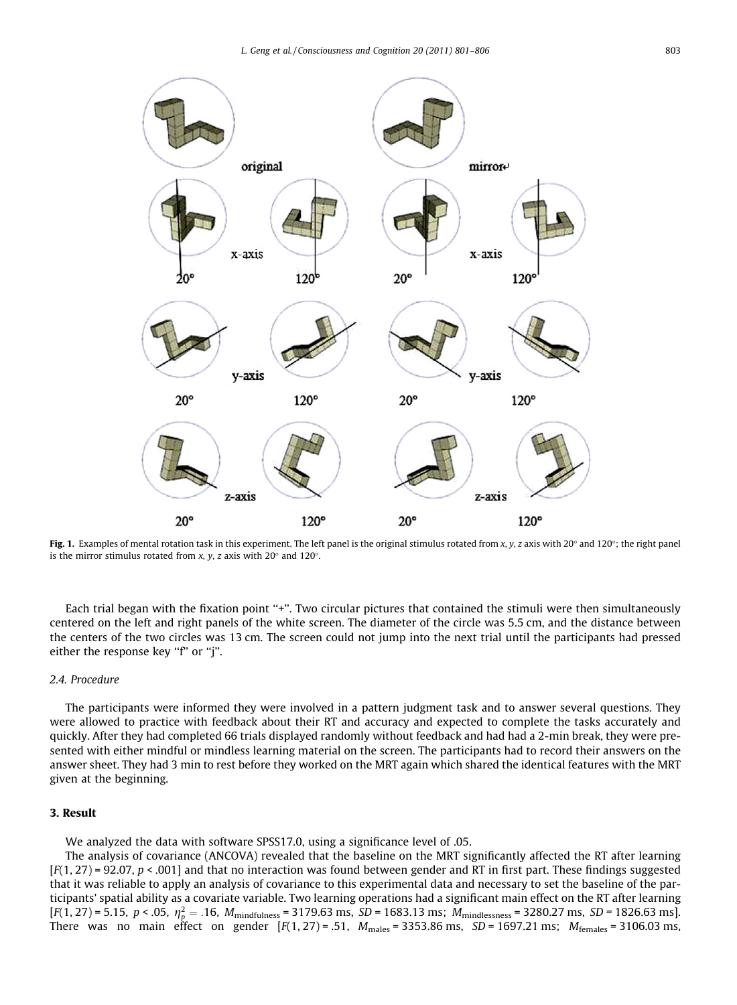<span id="page-2-0"></span>

Fig. 1. Examples of mental rotation task in this experiment. The left panel is the original stimulus rotated from x, y, z axis with 20° and 120°; the right panel is the mirror stimulus rotated from x, y, z axis with  $20^{\circ}$  and  $120^{\circ}$ .

Each trial began with the fixation point "+". Two circular pictures that contained the stimuli were then simultaneously centered on the left and right panels of the white screen. The diameter of the circle was 5.5 cm, and the distance between the centers of the two circles was 13 cm. The screen could not jump into the next trial until the participants had pressed either the response key "f" or "j".

## 2.4. Procedure

The participants were informed they were involved in a pattern judgment task and to answer several questions. They were allowed to practice with feedback about their RT and accuracy and expected to complete the tasks accurately and quickly. After they had completed 66 trials displayed randomly without feedback and had had a 2-min break, they were presented with either mindful or mindless learning material on the screen. The participants had to record their answers on the answer sheet. They had 3 min to rest before they worked on the MRT again which shared the identical features with the MRT given at the beginning.

## 3. Result

We analyzed the data with software SPSS17.0, using a significance level of .05.

The analysis of covariance (ANCOVA) revealed that the baseline on the MRT significantly affected the RT after learning  $[F(1, 27) = 92.07, p < .001]$  and that no interaction was found between gender and RT in first part. These findings suggested that it was reliable to apply an analysis of covariance to this experimental data and necessary to set the baseline of the participants' spatial ability as a covariate variable. Two learning operations had a significant main effect on the RT after learning  $[F(1, 27) = 5.15, p < .05, \eta_p^2 = .16, M_{mindfulness} = 3179.63 \text{ ms}, SD = 1683.13 \text{ ms}; M_{mindlessness} = 3280.27 \text{ ms}, SD = 1826.63 \text{ ms}.$ There was no main effect on gender  $[F(1, 27) = .51, M_{males} = 3353.86 \text{ ms}, SD = 1697.21 \text{ ms}; M_{females} = 3106.03 \text{ ms},$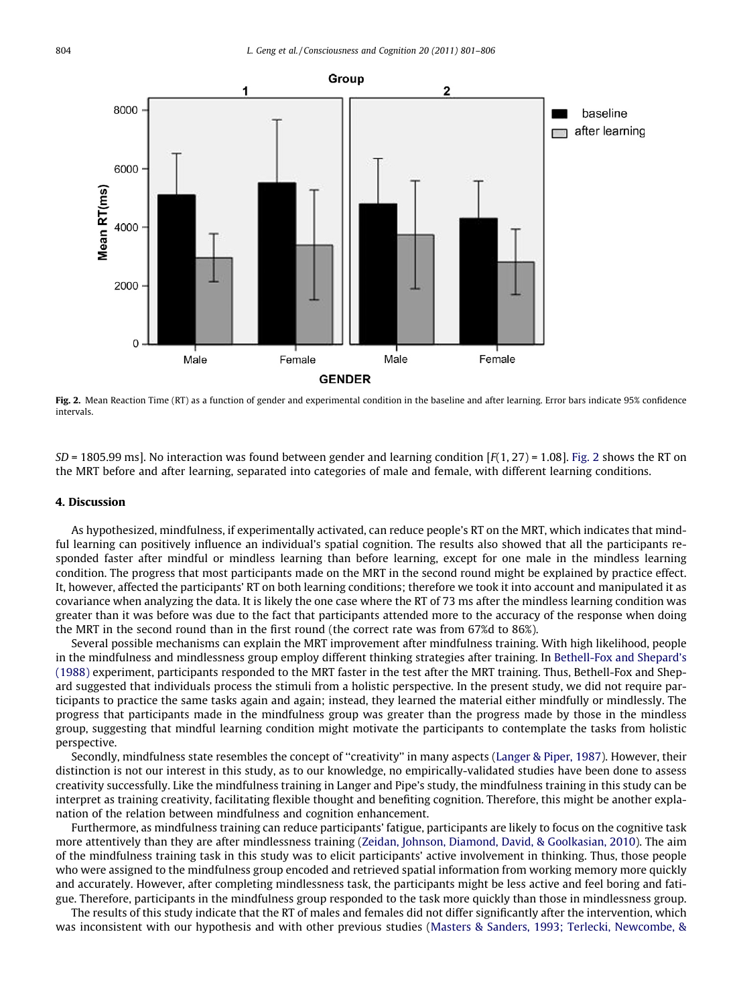

Fig. 2. Mean Reaction Time (RT) as a function of gender and experimental condition in the baseline and after learning. Error bars indicate 95% confidence intervals.

 $SD = 1805.99$  ms]. No interaction was found between gender and learning condition  $[F(1, 27) = 1.08]$ . Fig. 2 shows the RT on the MRT before and after learning, separated into categories of male and female, with different learning conditions.

## 4. Discussion

As hypothesized, mindfulness, if experimentally activated, can reduce people's RT on the MRT, which indicates that mindful learning can positively influence an individual's spatial cognition. The results also showed that all the participants responded faster after mindful or mindless learning than before learning, except for one male in the mindless learning condition. The progress that most participants made on the MRT in the second round might be explained by practice effect. It, however, affected the participants' RT on both learning conditions; therefore we took it into account and manipulated it as covariance when analyzing the data. It is likely the one case where the RT of 73 ms after the mindless learning condition was greater than it was before was due to the fact that participants attended more to the accuracy of the response when doing the MRT in the second round than in the first round (the correct rate was from 67%d to 86%).

Several possible mechanisms can explain the MRT improvement after mindfulness training. With high likelihood, people in the mindfulness and mindlessness group employ different thinking strategies after training. In [Bethell-Fox and Shepard's](#page-4-0) [\(1988\)](#page-4-0) experiment, participants responded to the MRT faster in the test after the MRT training. Thus, Bethell-Fox and Shepard suggested that individuals process the stimuli from a holistic perspective. In the present study, we did not require participants to practice the same tasks again and again; instead, they learned the material either mindfully or mindlessly. The progress that participants made in the mindfulness group was greater than the progress made by those in the mindless group, suggesting that mindful learning condition might motivate the participants to contemplate the tasks from holistic perspective.

Secondly, mindfulness state resembles the concept of ''creativity'' in many aspects ([Langer & Piper, 1987](#page-5-0)). However, their distinction is not our interest in this study, as to our knowledge, no empirically-validated studies have been done to assess creativity successfully. Like the mindfulness training in Langer and Pipe's study, the mindfulness training in this study can be interpret as training creativity, facilitating flexible thought and benefiting cognition. Therefore, this might be another explanation of the relation between mindfulness and cognition enhancement.

Furthermore, as mindfulness training can reduce participants' fatigue, participants are likely to focus on the cognitive task more attentively than they are after mindlessness training ([Zeidan, Johnson, Diamond, David, & Goolkasian, 2010\)](#page-5-0). The aim of the mindfulness training task in this study was to elicit participants' active involvement in thinking. Thus, those people who were assigned to the mindfulness group encoded and retrieved spatial information from working memory more quickly and accurately. However, after completing mindlessness task, the participants might be less active and feel boring and fatigue. Therefore, participants in the mindfulness group responded to the task more quickly than those in mindlessness group.

The results of this study indicate that the RT of males and females did not differ significantly after the intervention, which was inconsistent with our hypothesis and with other previous studies [\(Masters & Sanders, 1993; Terlecki, Newcombe, &](#page-5-0)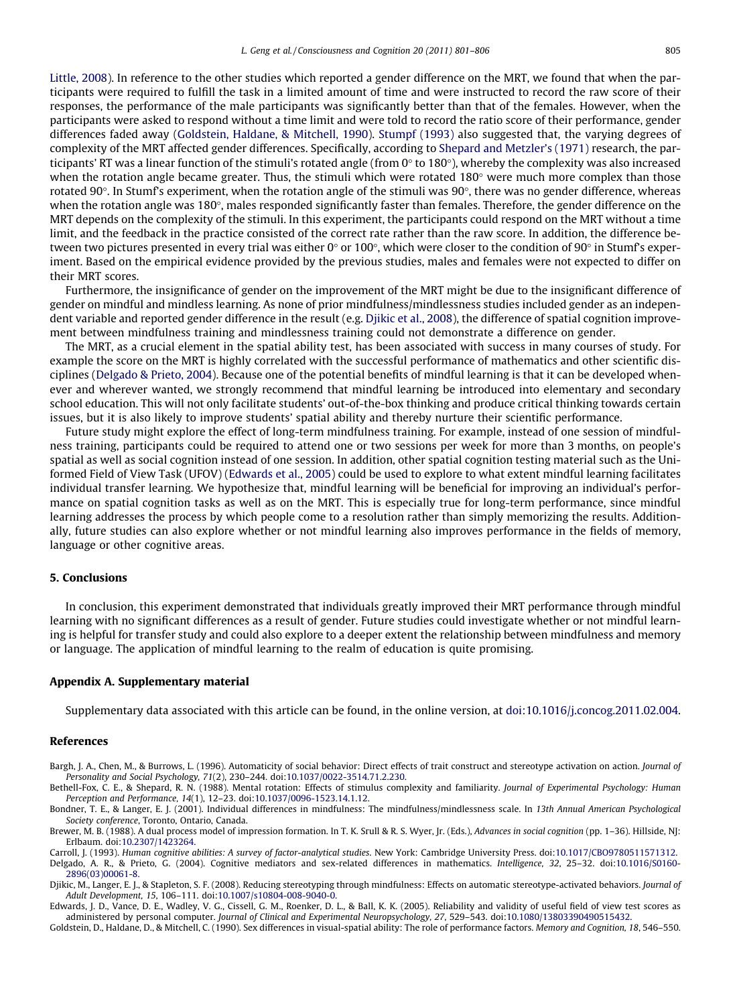<span id="page-4-0"></span>[Little, 2008](#page-5-0)). In reference to the other studies which reported a gender difference on the MRT, we found that when the participants were required to fulfill the task in a limited amount of time and were instructed to record the raw score of their responses, the performance of the male participants was significantly better than that of the females. However, when the participants were asked to respond without a time limit and were told to record the ratio score of their performance, gender differences faded away (Goldstein, Haldane, & Mitchell, 1990). [Stumpf \(1993\)](#page-5-0) also suggested that, the varying degrees of complexity of the MRT affected gender differences. Specifically, according to [Shepard and Metzler's \(1971\)](#page-5-0) research, the participants' RT was a linear function of the stimuli's rotated angle (from  $0^\circ$  to 180 $^\circ$ ), whereby the complexity was also increased when the rotation angle became greater. Thus, the stimuli which were rotated 180 $\degree$  were much more complex than those rotated 90°. In Stumf's experiment, when the rotation angle of the stimuli was  $90^\circ$ , there was no gender difference, whereas when the rotation angle was 180 $\degree$ , males responded significantly faster than females. Therefore, the gender difference on the MRT depends on the complexity of the stimuli. In this experiment, the participants could respond on the MRT without a time limit, and the feedback in the practice consisted of the correct rate rather than the raw score. In addition, the difference between two pictures presented in every trial was either  $0^{\circ}$  or 100°, which were closer to the condition of 90° in Stumf's experiment. Based on the empirical evidence provided by the previous studies, males and females were not expected to differ on their MRT scores.

Furthermore, the insignificance of gender on the improvement of the MRT might be due to the insignificant difference of gender on mindful and mindless learning. As none of prior mindfulness/mindlessness studies included gender as an independent variable and reported gender difference in the result (e.g. Djikic et al., 2008), the difference of spatial cognition improvement between mindfulness training and mindlessness training could not demonstrate a difference on gender.

The MRT, as a crucial element in the spatial ability test, has been associated with success in many courses of study. For example the score on the MRT is highly correlated with the successful performance of mathematics and other scientific disciplines (Delgado & Prieto, 2004). Because one of the potential benefits of mindful learning is that it can be developed whenever and wherever wanted, we strongly recommend that mindful learning be introduced into elementary and secondary school education. This will not only facilitate students' out-of-the-box thinking and produce critical thinking towards certain issues, but it is also likely to improve students' spatial ability and thereby nurture their scientific performance.

Future study might explore the effect of long-term mindfulness training. For example, instead of one session of mindfulness training, participants could be required to attend one or two sessions per week for more than 3 months, on people's spatial as well as social cognition instead of one session. In addition, other spatial cognition testing material such as the Uniformed Field of View Task (UFOV) (Edwards et al., 2005) could be used to explore to what extent mindful learning facilitates individual transfer learning. We hypothesize that, mindful learning will be beneficial for improving an individual's performance on spatial cognition tasks as well as on the MRT. This is especially true for long-term performance, since mindful learning addresses the process by which people come to a resolution rather than simply memorizing the results. Additionally, future studies can also explore whether or not mindful learning also improves performance in the fields of memory, language or other cognitive areas.

## 5. Conclusions

In conclusion, this experiment demonstrated that individuals greatly improved their MRT performance through mindful learning with no significant differences as a result of gender. Future studies could investigate whether or not mindful learning is helpful for transfer study and could also explore to a deeper extent the relationship between mindfulness and memory or language. The application of mindful learning to the realm of education is quite promising.

#### Appendix A. Supplementary material

Supplementary data associated with this article can be found, in the online version, at [doi:10.1016/j.concog.2011.02.004](http://dx.doi.org/10.1016/j.concog.2011.02.004).

## References

Bargh, J. A., Chen, M., & Burrows, L. (1996). Automaticity of social behavior: Direct effects of trait construct and stereotype activation on action. Journal of Personality and Social Psychology, 71(2), 230–244. doi:[10.1037/0022-3514.71.2.230.](http://dx.doi.org/10.1037/0022-3514.71.2.230)

Bethell-Fox, C. E., & Shepard, R. N. (1988). Mental rotation: Effects of stimulus complexity and familiarity. Journal of Experimental Psychology: Human Perception and Performance, 14(1), 12–23. doi[:10.1037/0096-1523.14.1.12.](http://dx.doi.org/10.1037/0096-1523.14.1.12)

Bondner, T. E., & Langer, E. J. (2001). Individual differences in mindfulness: The mindfulness/mindlessness scale. In 13th Annual American Psychological Society conference, Toronto, Ontario, Canada.

Brewer, M. B. (1988). A dual process model of impression formation. In T. K. Srull & R. S. Wyer, Jr. (Eds.), Advances in social cognition (pp. 1–36). Hillside, NJ: Erlbaum. doi:[10.2307/1423264.](http://dx.doi.org/10.2307/1423264)

Carroll, J. (1993). Human cognitive abilities: A survey of factor-analytical studies. New York: Cambridge University Press. doi:[10.1017/CBO9780511571312.](http://dx.doi.org/10.1017/CBO9780511571312) Delgado, A. R., & Prieto, G. (2004). Cognitive mediators and sex-related differences in mathematics. Intelligence, 32, 25–32. doi[:10.1016/S0160-](http://dx.doi.org/10.1016/S0160-2896(03)00061-8)

[2896\(03\)00061-8.](http://dx.doi.org/10.1016/S0160-2896(03)00061-8)

Djikic, M., Langer, E. J., & Stapleton, S. F. (2008). Reducing stereotyping through mindfulness: Effects on automatic stereotype-activated behaviors. Journal of Adult Development, 15, 106–111. doi[:10.1007/s10804-008-9040-0.](http://dx.doi.org/10.1007/s10804-008-9040-0)

Edwards, J. D., Vance, D. E., Wadley, V. G., Cissell, G. M., Roenker, D. L., & Ball, K. K. (2005). Reliability and validity of useful field of view test scores as administered by personal computer. Journal of Clinical and Experimental Neuropsychology, 27, 529–543. doi[:10.1080/13803390490515432.](http://dx.doi.org/10.1080/13803390490515432)

Goldstein, D., Haldane, D., & Mitchell, C. (1990). Sex differences in visual-spatial ability: The role of performance factors. Memory and Cognition, 18, 546–550.